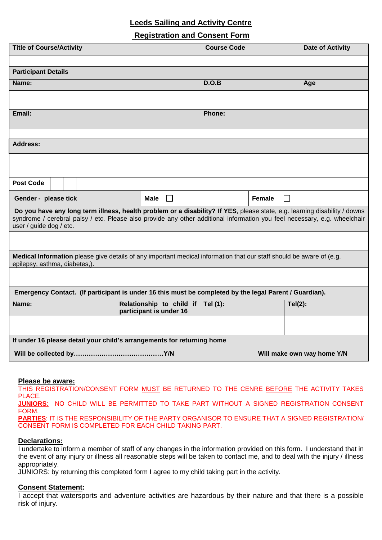# **Leeds Sailing and Activity Centre**

# **Registration and Consent Form**

| <b>Title of Course/Activity</b>                                                                                                                                                                                                                                                   |  |  |  |  |  |  |                                                                  | <b>Course Code</b> |                                           |  |  |     | <b>Date of Activity</b> |  |  |  |  |            |  |  |  |  |  |  |
|-----------------------------------------------------------------------------------------------------------------------------------------------------------------------------------------------------------------------------------------------------------------------------------|--|--|--|--|--|--|------------------------------------------------------------------|--------------------|-------------------------------------------|--|--|-----|-------------------------|--|--|--|--|------------|--|--|--|--|--|--|
|                                                                                                                                                                                                                                                                                   |  |  |  |  |  |  |                                                                  |                    |                                           |  |  |     |                         |  |  |  |  |            |  |  |  |  |  |  |
| <b>Participant Details</b>                                                                                                                                                                                                                                                        |  |  |  |  |  |  |                                                                  |                    |                                           |  |  |     |                         |  |  |  |  |            |  |  |  |  |  |  |
| Name:                                                                                                                                                                                                                                                                             |  |  |  |  |  |  |                                                                  | D.O.B              |                                           |  |  | Age |                         |  |  |  |  |            |  |  |  |  |  |  |
|                                                                                                                                                                                                                                                                                   |  |  |  |  |  |  |                                                                  |                    |                                           |  |  |     |                         |  |  |  |  |            |  |  |  |  |  |  |
| Email:                                                                                                                                                                                                                                                                            |  |  |  |  |  |  |                                                                  |                    | Phone:                                    |  |  |     |                         |  |  |  |  |            |  |  |  |  |  |  |
|                                                                                                                                                                                                                                                                                   |  |  |  |  |  |  |                                                                  |                    |                                           |  |  |     |                         |  |  |  |  |            |  |  |  |  |  |  |
| <b>Address:</b>                                                                                                                                                                                                                                                                   |  |  |  |  |  |  |                                                                  |                    |                                           |  |  |     |                         |  |  |  |  |            |  |  |  |  |  |  |
|                                                                                                                                                                                                                                                                                   |  |  |  |  |  |  |                                                                  |                    |                                           |  |  |     |                         |  |  |  |  |            |  |  |  |  |  |  |
| <b>Post Code</b>                                                                                                                                                                                                                                                                  |  |  |  |  |  |  |                                                                  |                    |                                           |  |  |     |                         |  |  |  |  |            |  |  |  |  |  |  |
| Gender - please tick<br><b>Male</b><br>$\Box$                                                                                                                                                                                                                                     |  |  |  |  |  |  |                                                                  |                    | <b>Female</b><br>$\overline{\phantom{a}}$ |  |  |     |                         |  |  |  |  |            |  |  |  |  |  |  |
| Do you have any long term illness, health problem or a disability? If YES, please state, e.g. learning disability / downs<br>syndrome / cerebral palsy / etc. Please also provide any other additional information you feel necessary, e.g. wheelchair<br>user / guide dog / etc. |  |  |  |  |  |  |                                                                  |                    |                                           |  |  |     |                         |  |  |  |  |            |  |  |  |  |  |  |
|                                                                                                                                                                                                                                                                                   |  |  |  |  |  |  |                                                                  |                    |                                           |  |  |     |                         |  |  |  |  |            |  |  |  |  |  |  |
| Medical Information please give details of any important medical information that our staff should be aware of (e.g.<br>epilepsy, asthma, diabetes,).                                                                                                                             |  |  |  |  |  |  |                                                                  |                    |                                           |  |  |     |                         |  |  |  |  |            |  |  |  |  |  |  |
|                                                                                                                                                                                                                                                                                   |  |  |  |  |  |  |                                                                  |                    |                                           |  |  |     |                         |  |  |  |  |            |  |  |  |  |  |  |
| Emergency Contact. (If participant is under 16 this must be completed by the legal Parent / Guardian).                                                                                                                                                                            |  |  |  |  |  |  |                                                                  |                    |                                           |  |  |     |                         |  |  |  |  |            |  |  |  |  |  |  |
| Name:                                                                                                                                                                                                                                                                             |  |  |  |  |  |  | Relationship to child if $ $ Tel (1):<br>participant is under 16 |                    |                                           |  |  |     |                         |  |  |  |  | $Tel(2)$ : |  |  |  |  |  |  |
|                                                                                                                                                                                                                                                                                   |  |  |  |  |  |  |                                                                  |                    |                                           |  |  |     |                         |  |  |  |  |            |  |  |  |  |  |  |
| If under 16 please detail your child's arrangements for returning home                                                                                                                                                                                                            |  |  |  |  |  |  |                                                                  |                    |                                           |  |  |     |                         |  |  |  |  |            |  |  |  |  |  |  |
| Will make own way home Y/N                                                                                                                                                                                                                                                        |  |  |  |  |  |  |                                                                  |                    |                                           |  |  |     |                         |  |  |  |  |            |  |  |  |  |  |  |
|                                                                                                                                                                                                                                                                                   |  |  |  |  |  |  |                                                                  |                    |                                           |  |  |     |                         |  |  |  |  |            |  |  |  |  |  |  |

#### **Please be aware:**

THIS REGISTRATION/CONSENT FORM MUST BE RETURNED TO THE CENRE BEFORE THE ACTIVITY TAKES PLACE.

**JUNIORS**: NO CHILD WILL BE PERMITTED TO TAKE PART WITHOUT A SIGNED REGISTRATION CONSENT FORM.

**PARTIES**: IT IS THE RESPONSIBILITY OF THE PARTY ORGANISOR TO ENSURE THAT A SIGNED REGISTRATION/ CONSENT FORM IS COMPLETED FOR EACH CHILD TAKING PART.

#### **Declarations:**

I undertake to inform a member of staff of any changes in the information provided on this form. I understand that in the event of any injury or illness all reasonable steps will be taken to contact me, and to deal with the injury / illness appropriately.

JUNIORS: by returning this completed form I agree to my child taking part in the activity.

### **Consent Statement:**

I accept that watersports and adventure activities are hazardous by their nature and that there is a possible risk of injury.